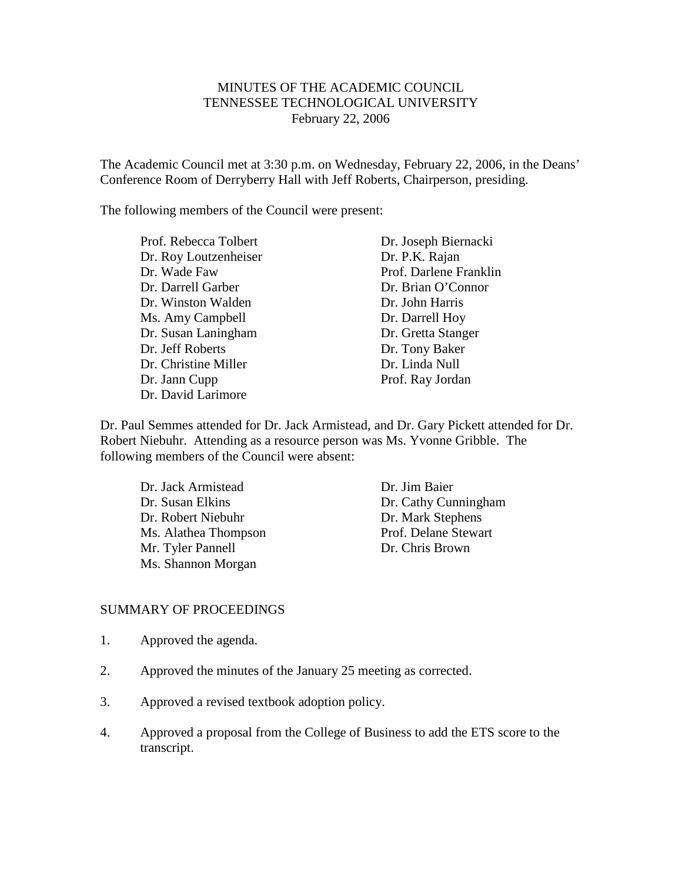# MINUTES OF THE ACADEMIC COUNCIL TENNESSEE TECHNOLOGICAL UNIVERSITY February 22, 2006

The Academic Council met at 3:30 p.m. on Wednesday, February 22, 2006, in the Deans' Conference Room of Derryberry Hall with Jeff Roberts, Chairperson, presiding.

The following members of the Council were present:

Prof. Rebecca Tolbert Dr. Joseph Biernacki Dr. Roy Loutzenheiser Dr. P.K. Rajan Dr. Wade Faw Prof. Darlene Franklin Dr. Darrell Garber Dr. Brian O'Connor Dr. Winston Walden Dr. John Harris Ms. Amy Campbell Dr. Darrell Hoy Dr. Susan Laningham Dr. Gretta Stanger Dr. Jeff Roberts Dr. Tony Baker Dr. Christine Miller Dr. Linda Null Dr. Jann Cupp Prof. Ray Jordan Dr. David Larimore

Dr. Paul Semmes attended for Dr. Jack Armistead, and Dr. Gary Pickett attended for Dr. Robert Niebuhr. Attending as a resource person was Ms. Yvonne Gribble. The following members of the Council were absent:

Dr. Jack Armistead Dr. Jim Baier Dr. Robert Niebuhr Dr. Mark Stephens Ms. Alathea Thompson Prof. Delane Stewart Mr. Tyler Pannell Dr. Chris Brown Ms. Shannon Morgan

Dr. Susan Elkins Dr. Cathy Cunningham

### SUMMARY OF PROCEEDINGS

- 1. Approved the agenda.
- 2. Approved the minutes of the January 25 meeting as corrected.
- 3. Approved a revised textbook adoption policy.
- 4. Approved a proposal from the College of Business to add the ETS score to the transcript.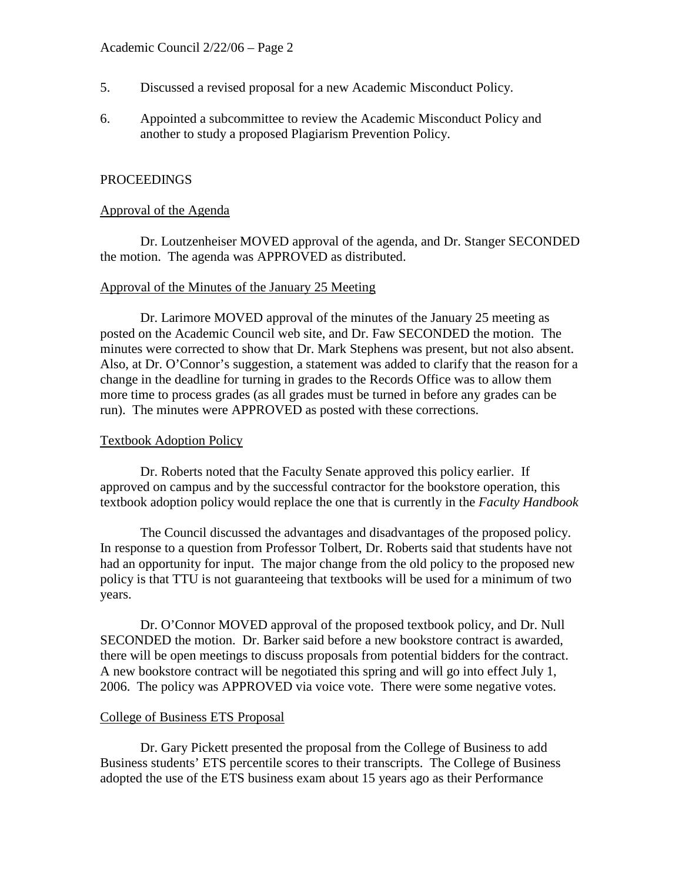- 5. Discussed a revised proposal for a new Academic Misconduct Policy.
- 6. Appointed a subcommittee to review the Academic Misconduct Policy and another to study a proposed Plagiarism Prevention Policy.

# PROCEEDINGS

## Approval of the Agenda

Dr. Loutzenheiser MOVED approval of the agenda, and Dr. Stanger SECONDED the motion. The agenda was APPROVED as distributed.

### Approval of the Minutes of the January 25 Meeting

Dr. Larimore MOVED approval of the minutes of the January 25 meeting as posted on the Academic Council web site, and Dr. Faw SECONDED the motion. The minutes were corrected to show that Dr. Mark Stephens was present, but not also absent. Also, at Dr. O'Connor's suggestion, a statement was added to clarify that the reason for a change in the deadline for turning in grades to the Records Office was to allow them more time to process grades (as all grades must be turned in before any grades can be run). The minutes were APPROVED as posted with these corrections.

## Textbook Adoption Policy

Dr. Roberts noted that the Faculty Senate approved this policy earlier. If approved on campus and by the successful contractor for the bookstore operation, this textbook adoption policy would replace the one that is currently in the *Faculty Handbook*

The Council discussed the advantages and disadvantages of the proposed policy. In response to a question from Professor Tolbert, Dr. Roberts said that students have not had an opportunity for input. The major change from the old policy to the proposed new policy is that TTU is not guaranteeing that textbooks will be used for a minimum of two years.

Dr. O'Connor MOVED approval of the proposed textbook policy, and Dr. Null SECONDED the motion. Dr. Barker said before a new bookstore contract is awarded, there will be open meetings to discuss proposals from potential bidders for the contract. A new bookstore contract will be negotiated this spring and will go into effect July 1, 2006. The policy was APPROVED via voice vote. There were some negative votes.

### College of Business ETS Proposal

Dr. Gary Pickett presented the proposal from the College of Business to add Business students' ETS percentile scores to their transcripts. The College of Business adopted the use of the ETS business exam about 15 years ago as their Performance